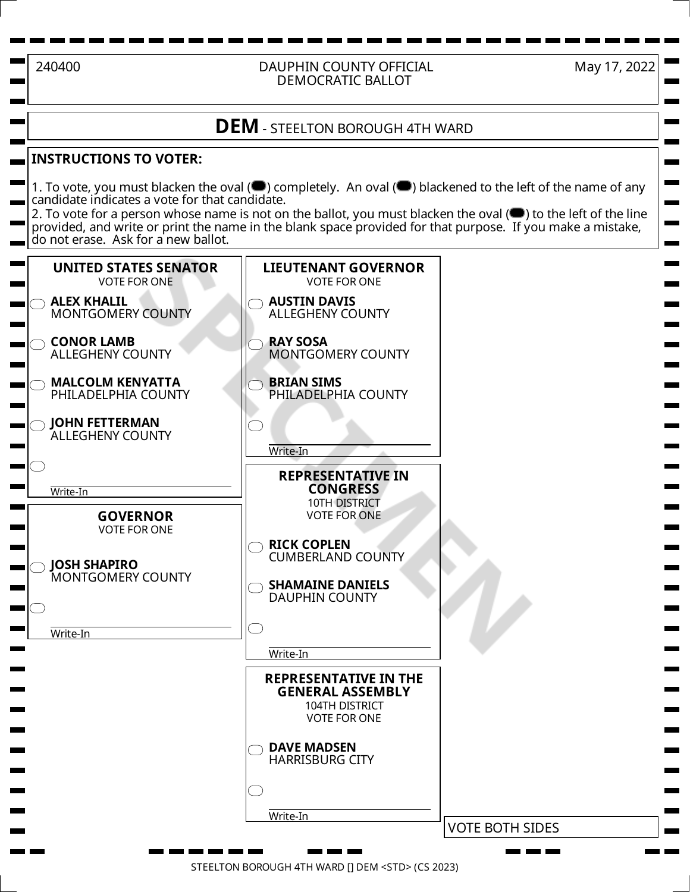## 240400 DAUPHIN COUNTY OFFICIAL DEMOCRATIC BALLOT

May 17, 2022

## **DEM** - STEELTON BOROUGH 4TH WARD

## **INSTRUCTIONS TO VOTER:**

1. To vote, you must blacken the oval (●) completely. An oval (●) blackened to the left of the name of any candidate indicates a vote for that candidate.

2. To vote for a person whose name is not on the ballot, you must blacken the oval ( $\blacksquare$ ) to the left of the line provided, and write or print the name in the blank space provided for that purpose. If you make a mistake, do not erase. Ask for a new ballot.